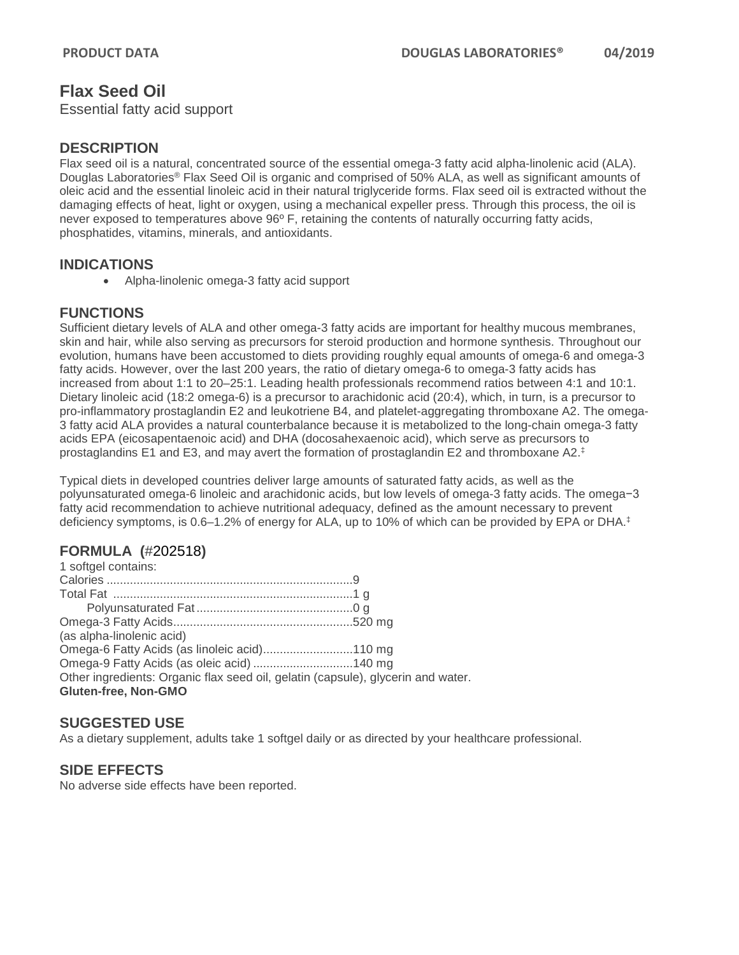# **Flax Seed Oil**

Essential fatty acid support

#### **DESCRIPTION**

Flax seed oil is a natural, concentrated source of the essential omega-3 fatty acid alpha-linolenic acid (ALA). Douglas Laboratories® Flax Seed Oil is organic and comprised of 50% ALA, as well as significant amounts of oleic acid and the essential linoleic acid in their natural triglyceride forms. Flax seed oil is extracted without the damaging effects of heat, light or oxygen, using a mechanical expeller press. Through this process, the oil is never exposed to temperatures above 96º F, retaining the contents of naturally occurring fatty acids, phosphatides, vitamins, minerals, and antioxidants.

#### **INDICATIONS**

• Alpha-linolenic omega-3 fatty acid support

### **FUNCTIONS**

Sufficient dietary levels of ALA and other omega-3 fatty acids are important for healthy mucous membranes, skin and hair, while also serving as precursors for steroid production and hormone synthesis. Throughout our evolution, humans have been accustomed to diets providing roughly equal amounts of omega-6 and omega-3 fatty acids. However, over the last 200 years, the ratio of dietary omega-6 to omega-3 fatty acids has increased from about 1:1 to 20–25:1. Leading health professionals recommend ratios between 4:1 and 10:1. Dietary linoleic acid (18:2 omega-6) is a precursor to arachidonic acid (20:4), which, in turn, is a precursor to pro-inflammatory prostaglandin E2 and leukotriene B4, and platelet-aggregating thromboxane A2. The omega-3 fatty acid ALA provides a natural counterbalance because it is metabolized to the long-chain omega-3 fatty acids EPA (eicosapentaenoic acid) and DHA (docosahexaenoic acid), which serve as precursors to prostaglandins E1 and E3, and may avert the formation of prostaglandin E2 and thromboxane A2.‡

Typical diets in developed countries deliver large amounts of saturated fatty acids, as well as the polyunsaturated omega-6 linoleic and arachidonic acids, but low levels of omega-3 fatty acids. The omega−3 fatty acid recommendation to achieve nutritional adequacy, defined as the amount necessary to prevent deficiency symptoms, is 0.6–1.2% of energy for ALA, up to 10% of which can be provided by EPA or DHA.‡

### **FORMULA (**#202518**)**

| Omega-6 Fatty Acids (as linoleic acid)110 mg                                     |
|----------------------------------------------------------------------------------|
| Omega-9 Fatty Acids (as oleic acid) 140 mg                                       |
| Other ingredients: Organic flax seed oil, gelatin (capsule), glycerin and water. |
|                                                                                  |
|                                                                                  |

### **SUGGESTED USE**

As a dietary supplement, adults take 1 softgel daily or as directed by your healthcare professional.

### **SIDE EFFECTS**

No adverse side effects have been reported.